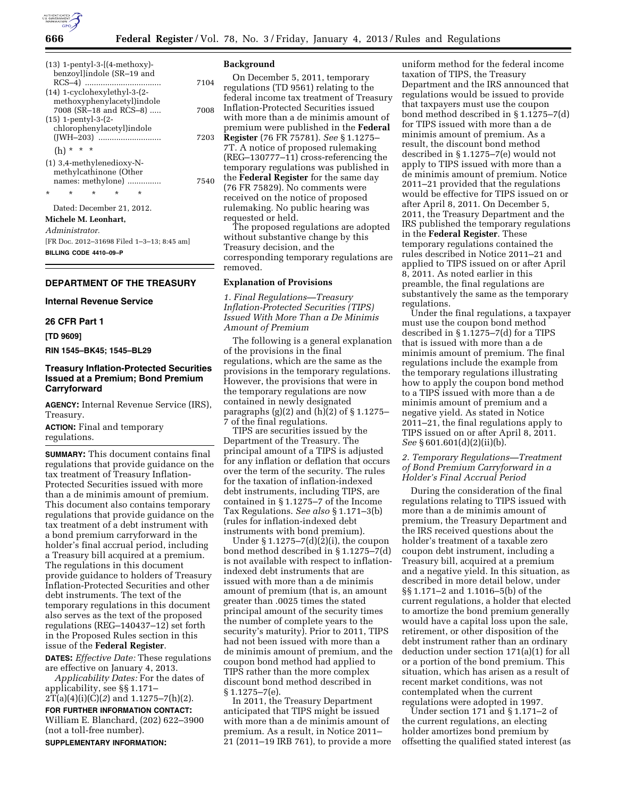

| $(13)$ 1-pentyl-3- $(4$ -methoxy)-               |      |
|--------------------------------------------------|------|
| benzoyllindole (SR-19 and                        |      |
|                                                  | 7104 |
| $(14)$ 1-cyclohexylethyl-3- $(2-$                |      |
| methoxyphenylacetyl)indole                       |      |
| 7008 (SR-18 and RCS-8)                           | 7008 |
| $(15)$ 1-pentyl-3- $(2-$                         |      |
| chlorophenylacetyl)indole                        |      |
|                                                  | 7203 |
| $(h) * * * *$                                    |      |
| (1) 3,4-methylenedioxy-N-                        |      |
| methylcathinone (Other                           |      |
| names: methylone)                                | 7540 |
| $\star$<br>$\star$<br>$\star$<br>÷<br>*          |      |
| Dated: December 21, 2012.                        |      |
| Michele M. Leonhart,                             |      |
| Administrator.                                   |      |
| $[EBD22 2012 21600 E] \sim 4.2.845 \, \text{cm}$ |      |

[FR Doc. 2012–31698 Filed 1–3–13; 8:45 am] **BILLING CODE 4410–09–P** 

## **DEPARTMENT OF THE TREASURY**

#### **Internal Revenue Service**

## **26 CFR Part 1**

**[TD 9609]** 

**RIN 1545–BK45; 1545–BL29** 

# **Treasury Inflation-Protected Securities Issued at a Premium; Bond Premium Carryforward**

**AGENCY:** Internal Revenue Service (IRS), Treasury.

**ACTION:** Final and temporary regulations.

**SUMMARY:** This document contains final regulations that provide guidance on the tax treatment of Treasury Inflation-Protected Securities issued with more than a de minimis amount of premium. This document also contains temporary regulations that provide guidance on the tax treatment of a debt instrument with a bond premium carryforward in the holder's final accrual period, including a Treasury bill acquired at a premium. The regulations in this document provide guidance to holders of Treasury Inflation-Protected Securities and other debt instruments. The text of the temporary regulations in this document also serves as the text of the proposed regulations (REG–140437–12) set forth in the Proposed Rules section in this issue of the **Federal Register**.

**DATES:** *Effective Date:* These regulations are effective on January 4, 2013.

*Applicability Dates:* For the dates of applicability, see §§ 1.171– 2T(a)(4)(i)(C)(*2*) and 1.1275–7(h)(2).

**FOR FURTHER INFORMATION CONTACT:**  William E. Blanchard, (202) 622–3900 (not a toll-free number).

**SUPPLEMENTARY INFORMATION:** 

### **Background**

On December 5, 2011, temporary regulations (TD 9561) relating to the federal income tax treatment of Treasury Inflation-Protected Securities issued with more than a de minimis amount of premium were published in the **Federal Register** (76 FR 75781). *See* § 1.1275– 7T. A notice of proposed rulemaking (REG–130777–11) cross-referencing the temporary regulations was published in the **Federal Register** for the same day (76 FR 75829). No comments were received on the notice of proposed rulemaking. No public hearing was requested or held.

The proposed regulations are adopted without substantive change by this Treasury decision, and the corresponding temporary regulations are removed.

## **Explanation of Provisions**

*1. Final Regulations—Treasury Inflation-Protected Securities (TIPS) Issued With More Than a De Minimis Amount of Premium* 

The following is a general explanation of the provisions in the final regulations, which are the same as the provisions in the temporary regulations. However, the provisions that were in the temporary regulations are now contained in newly designated paragraphs  $(g)(2)$  and  $(h)(2)$  of  $\S 1.1275-$ 7 of the final regulations.

TIPS are securities issued by the Department of the Treasury. The principal amount of a TIPS is adjusted for any inflation or deflation that occurs over the term of the security. The rules for the taxation of inflation-indexed debt instruments, including TIPS, are contained in § 1.1275–7 of the Income Tax Regulations. *See also* § 1.171–3(b) (rules for inflation-indexed debt instruments with bond premium).

Under  $\S 1.1275 - 7(d)(\overline{2})(i)$ , the coupon bond method described in § 1.1275–7(d) is not available with respect to inflationindexed debt instruments that are issued with more than a de minimis amount of premium (that is, an amount greater than .0025 times the stated principal amount of the security times the number of complete years to the security's maturity). Prior to 2011, TIPS had not been issued with more than a de minimis amount of premium, and the coupon bond method had applied to TIPS rather than the more complex discount bond method described in § 1.1275–7(e).

In 2011, the Treasury Department anticipated that TIPS might be issued with more than a de minimis amount of premium. As a result, in Notice 2011– 21 (2011–19 IRB 761), to provide a more

uniform method for the federal income taxation of TIPS, the Treasury Department and the IRS announced that regulations would be issued to provide that taxpayers must use the coupon bond method described in § 1.1275–7(d) for TIPS issued with more than a de minimis amount of premium. As a result, the discount bond method described in § 1.1275–7(e) would not apply to TIPS issued with more than a de minimis amount of premium. Notice 2011–21 provided that the regulations would be effective for TIPS issued on or after April 8, 2011. On December 5, 2011, the Treasury Department and the IRS published the temporary regulations in the **Federal Register**. These temporary regulations contained the rules described in Notice 2011–21 and applied to TIPS issued on or after April 8, 2011. As noted earlier in this preamble, the final regulations are substantively the same as the temporary regulations.

Under the final regulations, a taxpayer must use the coupon bond method described in § 1.1275–7(d) for a TIPS that is issued with more than a de minimis amount of premium. The final regulations include the example from the temporary regulations illustrating how to apply the coupon bond method to a TIPS issued with more than a de minimis amount of premium and a negative yield. As stated in Notice 2011–21, the final regulations apply to TIPS issued on or after April 8, 2011. *See* § 601.601(d)(2)(ii)(b).

## *2. Temporary Regulations—Treatment of Bond Premium Carryforward in a Holder's Final Accrual Period*

During the consideration of the final regulations relating to TIPS issued with more than a de minimis amount of premium, the Treasury Department and the IRS received questions about the holder's treatment of a taxable zero coupon debt instrument, including a Treasury bill, acquired at a premium and a negative yield. In this situation, as described in more detail below, under §§ 1.171–2 and 1.1016–5(b) of the current regulations, a holder that elected to amortize the bond premium generally would have a capital loss upon the sale, retirement, or other disposition of the debt instrument rather than an ordinary deduction under section 171(a)(1) for all or a portion of the bond premium. This situation, which has arisen as a result of recent market conditions, was not contemplated when the current regulations were adopted in 1997.

Under section 171 and § 1.171–2 of the current regulations, an electing holder amortizes bond premium by offsetting the qualified stated interest (as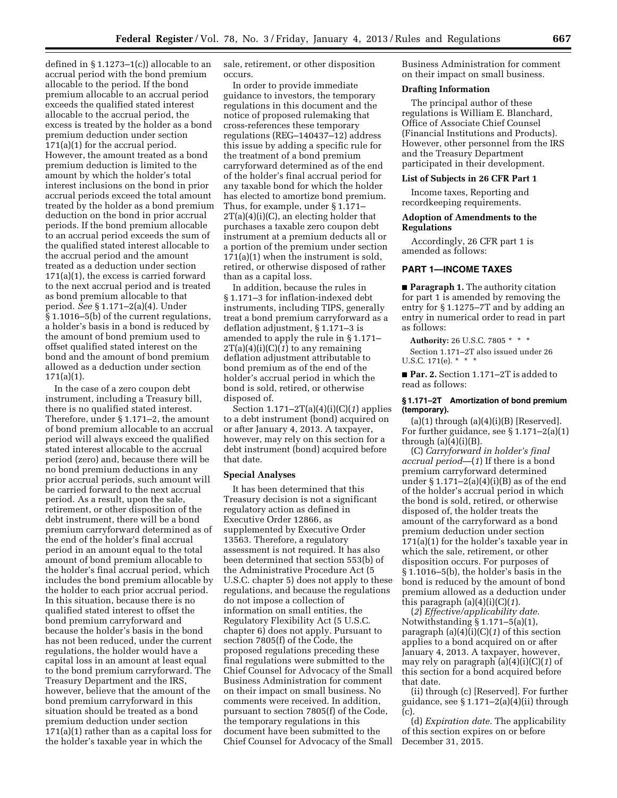defined in § 1.1273–1(c)) allocable to an accrual period with the bond premium allocable to the period. If the bond premium allocable to an accrual period exceeds the qualified stated interest allocable to the accrual period, the excess is treated by the holder as a bond premium deduction under section 171(a)(1) for the accrual period. However, the amount treated as a bond premium deduction is limited to the amount by which the holder's total interest inclusions on the bond in prior accrual periods exceed the total amount treated by the holder as a bond premium deduction on the bond in prior accrual periods. If the bond premium allocable to an accrual period exceeds the sum of the qualified stated interest allocable to the accrual period and the amount treated as a deduction under section 171(a)(1), the excess is carried forward to the next accrual period and is treated as bond premium allocable to that period. *See* § 1.171–2(a)(4). Under § 1.1016–5(b) of the current regulations, a holder's basis in a bond is reduced by the amount of bond premium used to offset qualified stated interest on the bond and the amount of bond premium allowed as a deduction under section 171(a)(1).

In the case of a zero coupon debt instrument, including a Treasury bill, there is no qualified stated interest. Therefore, under § 1.171–2, the amount of bond premium allocable to an accrual period will always exceed the qualified stated interest allocable to the accrual period (zero) and, because there will be no bond premium deductions in any prior accrual periods, such amount will be carried forward to the next accrual period. As a result, upon the sale, retirement, or other disposition of the debt instrument, there will be a bond premium carryforward determined as of the end of the holder's final accrual period in an amount equal to the total amount of bond premium allocable to the holder's final accrual period, which includes the bond premium allocable by the holder to each prior accrual period. In this situation, because there is no qualified stated interest to offset the bond premium carryforward and because the holder's basis in the bond has not been reduced, under the current regulations, the holder would have a capital loss in an amount at least equal to the bond premium carryforward. The Treasury Department and the IRS, however, believe that the amount of the bond premium carryforward in this situation should be treated as a bond premium deduction under section 171(a)(1) rather than as a capital loss for the holder's taxable year in which the

sale, retirement, or other disposition occurs.

In order to provide immediate guidance to investors, the temporary regulations in this document and the notice of proposed rulemaking that cross-references these temporary regulations (REG–140437–12) address this issue by adding a specific rule for the treatment of a bond premium carryforward determined as of the end of the holder's final accrual period for any taxable bond for which the holder has elected to amortize bond premium. Thus, for example, under § 1.171–  $2T(a)(4)(i)(C)$ , an electing holder that purchases a taxable zero coupon debt instrument at a premium deducts all or a portion of the premium under section 171(a)(1) when the instrument is sold, retired, or otherwise disposed of rather than as a capital loss.

In addition, because the rules in § 1.171–3 for inflation-indexed debt instruments, including TIPS, generally treat a bond premium carryforward as a deflation adjustment, § 1.171–3 is amended to apply the rule in § 1.171–  $2T(a)(4)(i)(C)(1)$  to any remaining deflation adjustment attributable to bond premium as of the end of the holder's accrual period in which the bond is sold, retired, or otherwise disposed of.

Section 1.171–2T(a)(4)(i)(C)(*1*) applies to a debt instrument (bond) acquired on or after January 4, 2013. A taxpayer, however, may rely on this section for a debt instrument (bond) acquired before that date.

## **Special Analyses**

It has been determined that this Treasury decision is not a significant regulatory action as defined in Executive Order 12866, as supplemented by Executive Order 13563. Therefore, a regulatory assessment is not required. It has also been determined that section 553(b) of the Administrative Procedure Act (5 U.S.C. chapter 5) does not apply to these regulations, and because the regulations do not impose a collection of information on small entities, the Regulatory Flexibility Act (5 U.S.C. chapter 6) does not apply. Pursuant to section 7805(f) of the Code, the proposed regulations preceding these final regulations were submitted to the Chief Counsel for Advocacy of the Small Business Administration for comment on their impact on small business. No comments were received. In addition, pursuant to section 7805(f) of the Code, the temporary regulations in this document have been submitted to the Chief Counsel for Advocacy of the Small

Business Administration for comment on their impact on small business.

#### **Drafting Information**

The principal author of these regulations is William E. Blanchard, Office of Associate Chief Counsel (Financial Institutions and Products). However, other personnel from the IRS and the Treasury Department participated in their development.

#### **List of Subjects in 26 CFR Part 1**

Income taxes, Reporting and recordkeeping requirements.

#### **Adoption of Amendments to the Regulations**

Accordingly, 26 CFR part 1 is amended as follows:

#### **PART 1—INCOME TAXES**

■ **Paragraph 1.** The authority citation for part 1 is amended by removing the entry for § 1.1275–7T and by adding an entry in numerical order to read in part as follows:

**Authority:** 26 U.S.C. 7805 \* \* \* Section 1.171–2T also issued under 26 U.S.C. 171(e). \* \* \*

■ **Par. 2.** Section 1.171–2T is added to read as follows:

#### **§ 1.171–2T Amortization of bond premium (temporary).**

 $(a)(1)$  through  $(a)(4)(i)(B)$  [Reserved]. For further guidance, see § 1.171–2(a)(1) through  $(a)(4)(i)(B)$ .

(C) *Carryforward in holder's final accrual period*—(*1*) If there is a bond premium carryforward determined under  $\S 1.171-2(a)(4)(i)(B)$  as of the end of the holder's accrual period in which the bond is sold, retired, or otherwise disposed of, the holder treats the amount of the carryforward as a bond premium deduction under section 171(a)(1) for the holder's taxable year in which the sale, retirement, or other disposition occurs. For purposes of § 1.1016–5(b), the holder's basis in the bond is reduced by the amount of bond premium allowed as a deduction under this paragraph (a)(4)(i)(C)(*1*).

(*2*) *Effective/applicability date.*  Notwithstanding § 1.171–5(a)(1), paragraph (a)(4)(i)(C)(*1*) of this section applies to a bond acquired on or after January 4, 2013. A taxpayer, however, may rely on paragraph (a)(4)(i)(C)(*1*) of this section for a bond acquired before that date.

(ii) through (c) [Reserved]. For further guidance, see § 1.171–2(a)(4)(ii) through (c).

(d) *Expiration date.* The applicability of this section expires on or before December 31, 2015.